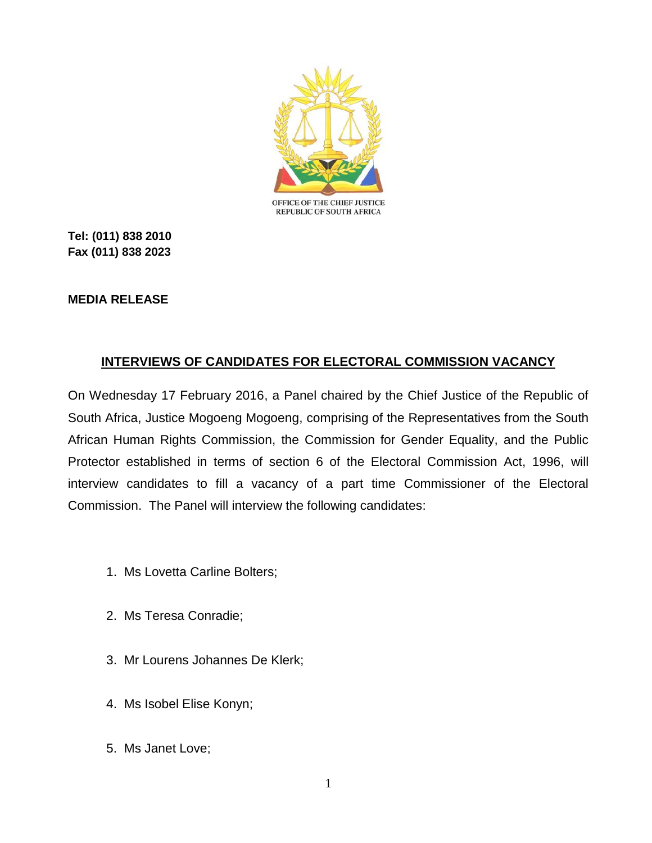

**Tel: (011) 838 2010 Fax (011) 838 2023**

## **MEDIA RELEASE**

## **INTERVIEWS OF CANDIDATES FOR ELECTORAL COMMISSION VACANCY**

On Wednesday 17 February 2016, a Panel chaired by the Chief Justice of the Republic of South Africa, Justice Mogoeng Mogoeng, comprising of the Representatives from the South African Human Rights Commission, the Commission for Gender Equality, and the Public Protector established in terms of section 6 of the Electoral Commission Act, 1996, will interview candidates to fill a vacancy of a part time Commissioner of the Electoral Commission. The Panel will interview the following candidates:

- 1. Ms Lovetta Carline Bolters;
- 2. Ms Teresa Conradie;
- 3. Mr Lourens Johannes De Klerk;
- 4. Ms Isobel Elise Konyn;
- 5. Ms Janet Love;